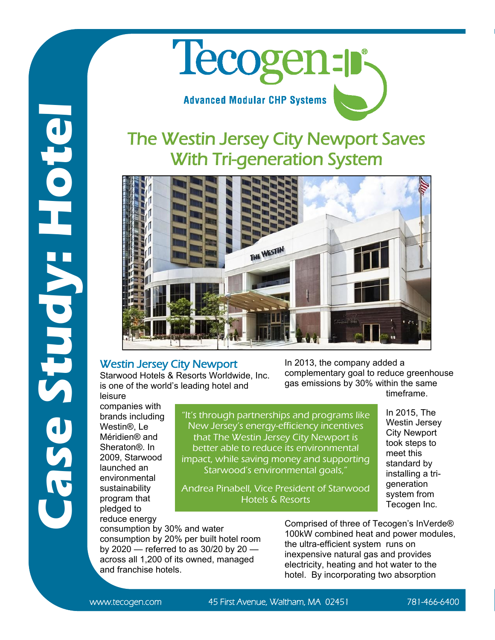## Tecogen: **Advanced Modular CHP Systems**

## The Westin Jersey City Newport Saves With Tri-generation System



## Westin Jersey City Newport

Starwood Hotels & Resorts Worldwide, Inc. is one of the world's leading hotel and

In 2013, the company added a complementary goal to reduce greenhouse gas emissions by 30% within the same timeframe.

> In 2015, The Westin Jersey City Newport took steps to meet this standard by installing a trigeneration system from Tecogen Inc.

leisure companies with brands including Westin®, Le Méridien® and Sheraton®. In 2009, Starwood launched an environmental sustainability program that pledged to reduce energy

**Case Study: Hotel**

Fase Study:

Bator

"It's through partnerships and programs like New Jersey's energy-efficiency incentives that The Westin Jersey City Newport is better able to reduce its environmental impact, while saving money and supporting Starwood's environmental goals,"

Andrea Pinabell, Vice President of Starwood Hotels & Resorts

consumption by 30% and water consumption by 20% per built hotel room by 2020 — referred to as 30/20 by 20 across all 1,200 of its owned, managed and franchise hotels.

Comprised of three of Tecogen's InVerde® 100kW combined heat and power modules, the ultra-efficient system runs on inexpensive natural gas and provides electricity, heating and hot water to the hotel. By incorporating two absorption